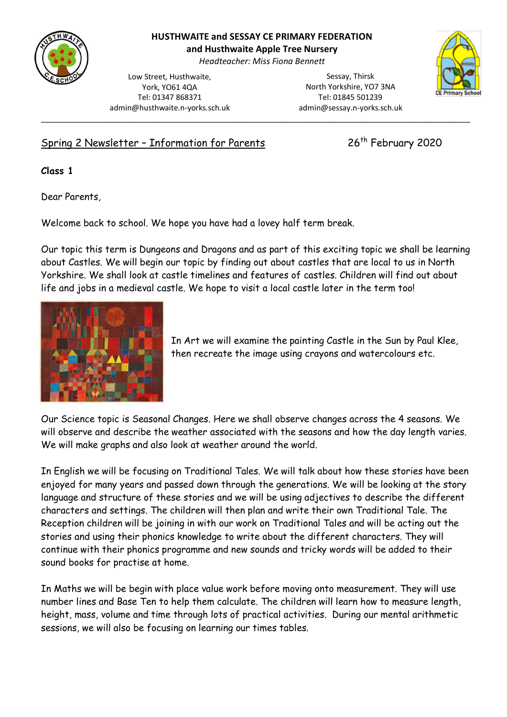

## **HUSTHWAITE and SESSAY CE PRIMARY FEDERATION and Husthwaite Apple Tree Nursery**

*Headteacher: Miss Fiona Bennett*

\_\_\_\_\_\_\_\_\_\_\_\_\_\_\_\_\_\_\_\_\_\_\_\_\_\_\_\_\_\_\_\_\_\_\_\_\_\_\_\_\_\_\_\_\_\_\_\_\_\_\_\_\_\_\_\_\_\_\_\_\_\_\_\_\_\_\_\_\_\_\_\_\_\_\_\_\_\_\_\_\_\_\_\_\_\_\_\_\_\_\_\_

Low Street, Husthwaite, York, YO61 4QA Tel: 01347 868371 admin@husthwaite.n-yorks.sch.uk

Sessay, Thirsk North Yorkshire, YO7 3NA Tel: 01845 501239 admin@sessay.n-yorks.sch.uk



## Spring 2 Newsletter - Information for Parents 26<sup>th</sup> February 2020

**Class 1** 

Dear Parents,

Welcome back to school. We hope you have had a lovey half term break.

Our topic this term is Dungeons and Dragons and as part of this exciting topic we shall be learning about Castles. We will begin our topic by finding out about castles that are local to us in North Yorkshire. We shall look at castle timelines and features of castles. Children will find out about life and jobs in a medieval castle. We hope to visit a local castle later in the term too!



In Art we will examine the painting Castle in the Sun by Paul Klee, then recreate the image using crayons and watercolours etc.

Our Science topic is Seasonal Changes. Here we shall observe changes across the 4 seasons. We will observe and describe the weather associated with the seasons and how the day length varies. We will make graphs and also look at weather around the world.

In English we will be focusing on Traditional Tales. We will talk about how these stories have been enjoyed for many years and passed down through the generations. We will be looking at the story language and structure of these stories and we will be using adjectives to describe the different characters and settings. The children will then plan and write their own Traditional Tale. The Reception children will be joining in with our work on Traditional Tales and will be acting out the stories and using their phonics knowledge to write about the different characters. They will continue with their phonics programme and new sounds and tricky words will be added to their sound books for practise at home.

In Maths we will be begin with place value work before moving onto measurement. They will use number lines and Base Ten to help them calculate. The children will learn how to measure length, height, mass, volume and time through lots of practical activities. During our mental arithmetic sessions, we will also be focusing on learning our times tables.